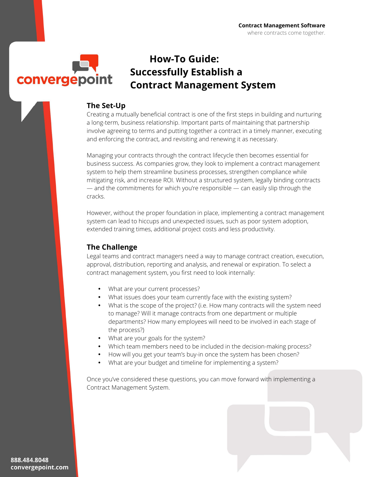

## **How-To Guide: Successfully Establish a Contract Management System**

### **The Set-Up**

Creating a mutually beneficial contract is one of the first steps in building and nurturing a long-term, business relationship. Important parts of maintaining that partnership involve agreeing to terms and putting together a contract in a timely manner, executing and enforcing the contract, and revisiting and renewing it as necessary.

Managing your contracts through the contract lifecycle then becomes essential for business success. As companies grow, they look to implement a contract management system to help them streamline business processes, strengthen compliance while mitigating risk, and increase ROI. Without a structured system, legally binding contracts — and the commitments for which you're responsible — can easily slip through the cracks.

However, without the proper foundation in place, implementing a contract management system can lead to hiccups and unexpected issues, such as poor system adoption, extended training times, additional project costs and less productivity.

### **The Challenge**

Legal teams and contract managers need a way to manage contract creation, execution, approval, distribution, reporting and analysis, and renewal or expiration. To select a contract management system, you first need to look internally:

- What are your current processes?
- What issues does your team currently face with the existing system?
- What is the scope of the project? (i.e. How many contracts will the system need to manage? Will it manage contracts from one department or multiple departments? How many employees will need to be involved in each stage of the process?)
- What are your goals for the system?
- Which team members need to be included in the decision-making process?
- How will you get your team's buy-in once the system has been chosen?
- What are your budget and timeline for implementing a system?

Once you've considered these questions, you can move forward with implementing a Contract Management System.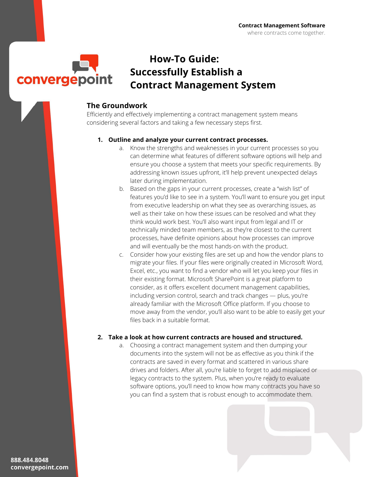

## **How-To Guide: Successfully Establish a Contract Management System**

### **The Groundwork**

Efficiently and effectively implementing a contract management system means considering several factors and taking a few necessary steps first.

#### **1. Outline and analyze your current contract processes.**

- a. Know the strengths and weaknesses in your current processes so you can determine what features of different software options will help and ensure you choose a system that meets your specific requirements. By addressing known issues upfront, it'll help prevent unexpected delays later during implementation.
- b. Based on the gaps in your current processes, create a "wish list" of features you'd like to see in a system. You'll want to ensure you get input from executive leadership on what they see as overarching issues, as well as their take on how these issues can be resolved and what they think would work best. You'll also want input from legal and IT or technically minded team members, as they're closest to the current processes, have definite opinions about how processes can improve and will eventually be the most hands-on with the product.
- c. Consider how your existing files are set up and how the vendor plans to migrate your files. If your files were originally created in Microsoft Word, Excel, etc., you want to find a vendor who will let you keep your files in their existing format. Microsoft SharePoint is a great platform to consider, as it offers excellent document management capabilities, including version control, search and track changes — plus, you're already familiar with the Microsoft Office platform. If you choose to move away from the vendor, you'll also want to be able to easily get your files back in a suitable format.

#### **2. Take a look at how current contracts are housed and structured.**

a. Choosing a contract management system and then dumping your documents into the system will not be as effective as you think if the contracts are saved in every format and scattered in various share drives and folders. After all, you're liable to forget to add misplaced or legacy contracts to the system. Plus, when you're ready to evaluate software options, you'll need to know how many contracts you have so you can find a system that is robust enough to accommodate them.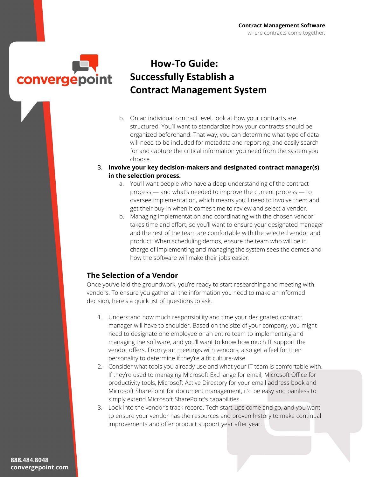

## **How-To Guide: Successfully Establish a Contract Management System**

- b. On an individual contract level, look at how your contracts are structured. You'll want to standardize how your contracts should be organized beforehand. That way, you can determine what type of data will need to be included for metadata and reporting, and easily search for and capture the critical information you need from the system you choose.
- 3. **Involve your key decision-makers and designated contract manager(s) in the selection process.** 
	- a. You'll want people who have a deep understanding of the contract process — and what's needed to improve the current process — to oversee implementation, which means you'll need to involve them and get their buy-in when it comes time to review and select a vendor.
	- b. Managing implementation and coordinating with the chosen vendor takes time and effort, so you'll want to ensure your designated manager and the rest of the team are comfortable with the selected vendor and product. When scheduling demos, ensure the team who will be in charge of implementing and managing the system sees the demos and how the software will make their jobs easier.

### **The Selection of a Vendor**

Once you've laid the groundwork, you're ready to start researching and meeting with vendors. To ensure you gather all the information you need to make an informed decision, here's a quick list of questions to ask.

- 1. Understand how much responsibility and time your designated contract manager will have to shoulder. Based on the size of your company, you might need to designate one employee or an entire team to implementing and managing the software, and you'll want to know how much IT support the vendor offers. From your meetings with vendors, also get a feel for their personality to determine if they're a fit culture-wise.
- 2. Consider what tools you already use and what your IT team is comfortable with. If they're used to managing Microsoft Exchange for email, Microsoft Office for productivity tools, Microsoft Active Directory for your email address book and Microsoft SharePoint for document management, it'd be easy and painless to simply extend Microsoft SharePoint's capabilities.
- 3. Look into the vendor's track record. Tech start-ups come and go, and you want to ensure your vendor has the resources and proven history to make continual improvements and offer product support year after year.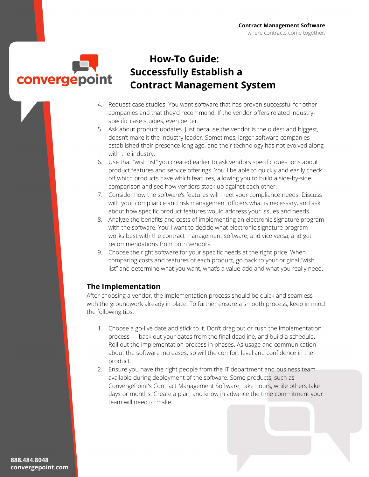convergepoint

# **How-To Guide: Successfully Establish a Contract Management System**

- 4. Request case studies. You want software that has proven successful for other companies and that they'd recommend. If the vendor offers related industryspecific case studies, even better.
- 5. Ask about product updates. Just because the vendor is the oldest and biggest, doesn't make it the industry leader. Sometimes, larger software companies established their presence long ago, and their technology has not evolved along with the industry.
- 6. Use that "wish list" you created earlier to ask vendors specific questions about product features and service offerings. You'll be able to quickly and easily check off which products have which features, allowing you to build a side-by-side comparison and see how vendors stack up against each other.
- 7. Consider how the software's features will meet your compliance needs. Discuss with your compliance and risk management officers what is necessary, and ask about how specific product features would address your issues and needs.
- 8. Analyze the benefits and costs of implementing an electronic signature program with the software. You'll want to decide what electronic signature program works best with the contract management software, and vice versa, and get recommendations from both vendors.
- 9. Choose the right software for your specific needs at the right price. When comparing costs and features of each product, go back to your original "wish list" and determine what you want, what's a value-add and what you really need.

### **The Implementation**

After choosing a vendor, the implementation process should be quick and seamless with the groundwork already in place. To further ensure a smooth process, keep in mind the following tips.

- 1. Choose a go-live date and stick to it. Don't drag out or rush the implementation process — back out your dates from the final deadline, and build a schedule. Roll out the implementation process in phases. As usage and communication about the software increases, so will the comfort level and confidence in the product.
- 2. Ensure you have the right people from the IT department and business team available during deployment of the software. Some products, such as ConvergePoint's Contract Management Software, take hours, while others take days or months. Create a plan, and know in advance the time commitment your team will need to make.